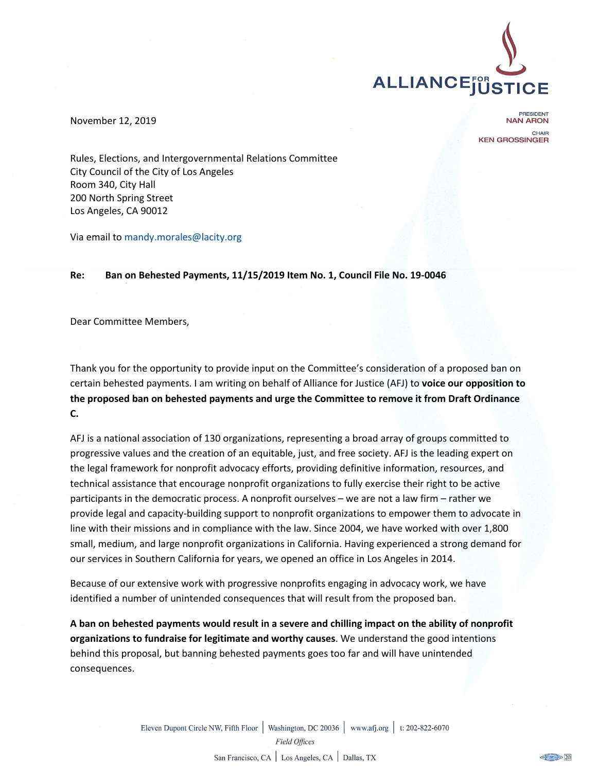

November 12, 2019

PRESIDENT **NAN ARON** CHAIR **KEN GROSSINGER** 

Rules, Elections, and Intergovernmental Relations Committee City Council of the City of Los Angeles Room 340, City Hall 200 North Spring Street Los Angeles, CA 90012

Via email to mandy.morales@lacity.org

## **Re: Ban on Behested Payments, 11/15/2019 Item No. 1, Council File No. 19-0046**

Dear Committee Members,

Thank you for the opportunity to provide input on the Committee's consideration of a proposed ban on certain behested payments. I am writing on behalf of Alliance for Justice (AFJ) to **voice our opposition to the proposed ban on behested payments and urge the Committee to remove it from Draft Ordinance C.**

AFJ is a national association of 130 organizations, representing a broad array of groups committed to progressive values and the creation of an equitable, just, and free society. AFJ is the leading expert on the legal framework for nonprofit advocacy efforts, providing definitive information, resources, and technical assistance that encourage nonprofit organizations to fully exercise their right to be active participants in the democratic process. A nonprofit ourselves – we are not a law firm – rather we provide legal and capacity-building support to nonprofit organizations to empower them to advocate in line with their missions and in compliance with the law. Since 2004, we have worked with over 1,800 small, medium, and large nonprofit organizations in California. Having experienced a strong demand for our services in Southern California for years, we opened an office in Los Angeles in 2014.

Because of our extensive work with progressive nonprofits engaging in advocacy work, we have identified a number of unintended consequences that will result from the proposed ban.

**A ban on behested payments would result in a severe and chilling impact on the ability of nonprofit organizations to fundraise for legitimate and worthy causes**. We understand the good intentions behind this proposal, but banning behested payments goes too far and will have unintended consequences.

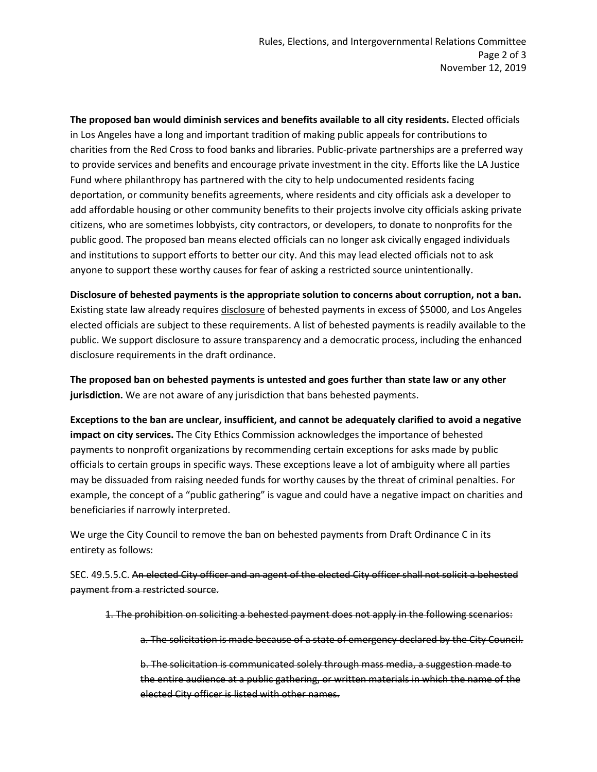**The proposed ban would diminish services and benefits available to all city residents.** Elected officials in Los Angeles have a long and important tradition of making public appeals for contributions to charities from the Red Cross to food banks and libraries. Public-private partnerships are a preferred way to provide services and benefits and encourage private investment in the city. Efforts like the LA Justice Fund where philanthropy has partnered with the city to help undocumented residents facing deportation, or community benefits agreements, where residents and city officials ask a developer to add affordable housing or other community benefits to their projects involve city officials asking private citizens, who are sometimes lobbyists, city contractors, or developers, to donate to nonprofits for the public good. The proposed ban means elected officials can no longer ask civically engaged individuals and institutions to support efforts to better our city. And this may lead elected officials not to ask anyone to support these worthy causes for fear of asking a restricted source unintentionally.

**Disclosure of behested payments is the appropriate solution to concerns about corruption, not a ban.** Existing state law already requires disclosure of behested payments in excess of \$5000, and Los Angeles elected officials are subject to these requirements. A list of behested payments is readily available to the public. We support disclosure to assure transparency and a democratic process, including the enhanced disclosure requirements in the draft ordinance.

**The proposed ban on behested payments is untested and goes further than state law or any other jurisdiction.** We are not aware of any jurisdiction that bans behested payments.

**Exceptions to the ban are unclear, insufficient, and cannot be adequately clarified to avoid a negative impact on city services.** The City Ethics Commission acknowledges the importance of behested payments to nonprofit organizations by recommending certain exceptions for asks made by public officials to certain groups in specific ways. These exceptions leave a lot of ambiguity where all parties may be dissuaded from raising needed funds for worthy causes by the threat of criminal penalties. For example, the concept of a "public gathering" is vague and could have a negative impact on charities and beneficiaries if narrowly interpreted.

We urge the City Council to remove the ban on behested payments from Draft Ordinance C in its entirety as follows:

SEC. 49.5.5.C. An elected City officer and an agent of the elected City officer shall not solicit a behested payment from a restricted source.

1. The prohibition on soliciting a behested payment does not apply in the following scenarios:

a. The solicitation is made because of a state of emergency declared by the City Council.

b. The solicitation is communicated solely through mass media, a suggestion made to the entire audience at a public gathering, or written materials in which the name of the elected City officer is listed with other names.